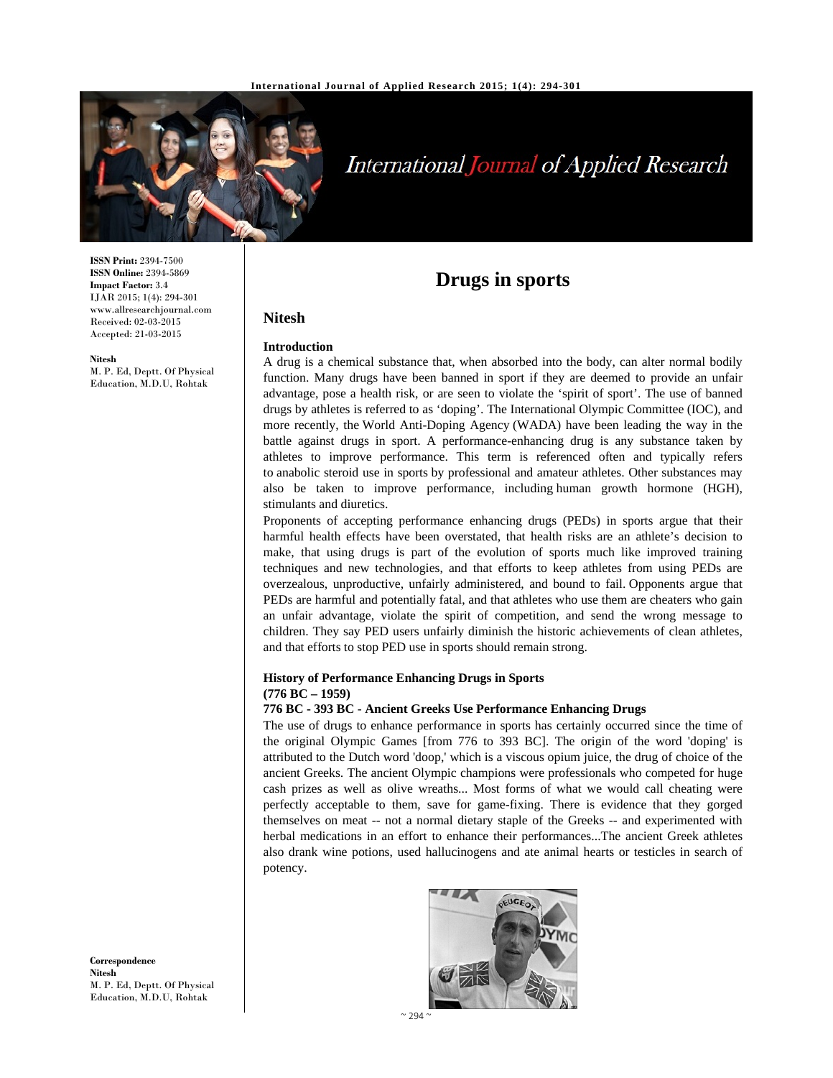

# **International Journal of Applied Research**

**ISSN Print:** 2394-7500 **ISSN Online:** 2394-5869 **Impact Factor:** 3.4 IJAR 2015; 1(4): 294-301 www.allresearchjournal.com Received: 02-03-2015 Accepted: 21-03-2015

**Nitesh** 

M. P. Ed, Deptt. Of Physical Education, M.D.U, Rohtak

## **Drugs in sports**

#### **Introduction**

**Nitesh** 

A drug is a chemical substance that, when absorbed into the body, can alter normal bodily function. Many drugs have been banned in sport if they are deemed to provide an unfair advantage, pose a health risk, or are seen to violate the 'spirit of sport'. The use of banned drugs by athletes is referred to as 'doping'. The International Olympic Committee (IOC), and more recently, the World Anti-Doping Agency (WADA) have been leading the way in the battle against drugs in sport. A performance-enhancing drug is any substance taken by athletes to improve performance. This term is referenced often and typically refers to anabolic steroid use in sports by professional and amateur athletes. Other substances may also be taken to improve performance, including human growth hormone (HGH), stimulants and diuretics.

Proponents of accepting performance enhancing drugs (PEDs) in sports argue that their harmful health effects have been overstated, that health risks are an athlete's decision to make, that using drugs is part of the evolution of sports much like improved training techniques and new technologies, and that efforts to keep athletes from using PEDs are overzealous, unproductive, unfairly administered, and bound to fail. Opponents argue that PEDs are harmful and potentially fatal, and that athletes who use them are cheaters who gain an unfair advantage, violate the spirit of competition, and send the wrong message to children. They say PED users unfairly diminish the historic achievements of clean athletes, and that efforts to stop PED use in sports should remain strong.

#### **History of Performance Enhancing Drugs in Sports (776 BC – 1959)**

#### **776 BC - 393 BC** - **Ancient Greeks Use Performance Enhancing Drugs**

The use of drugs to enhance performance in sports has certainly occurred since the time of the original Olympic Games [from 776 to 393 BC]. The origin of the word 'doping' is attributed to the Dutch word 'doop,' which is a viscous opium juice, the drug of choice of the ancient Greeks. The ancient Olympic champions were professionals who competed for huge cash prizes as well as olive wreaths... Most forms of what we would call cheating were perfectly acceptable to them, save for game-fixing. There is evidence that they gorged themselves on meat -- not a normal dietary staple of the Greeks -- and experimented with herbal medications in an effort to enhance their performances...The ancient Greek athletes also drank wine potions, used hallucinogens and ate animal hearts or testicles in search of potency.



**Correspondence Nitesh**  M. P. Ed, Deptt. Of Physical Education, M.D.U, Rohtak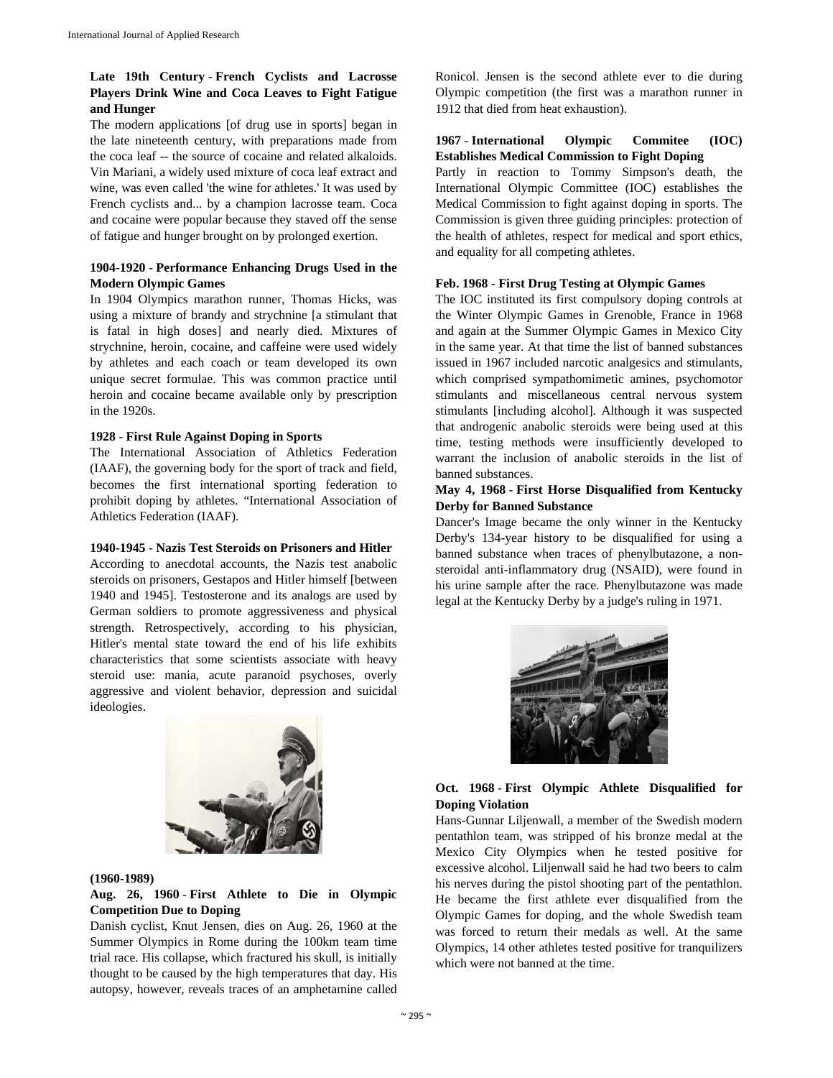## **Late 19th Century** - **French Cyclists and Lacrosse Players Drink Wine and Coca Leaves to Fight Fatigue and Hunger**

The modern applications [of drug use in sports] began in the late nineteenth century, with preparations made from the coca leaf -- the source of cocaine and related alkaloids. Vin Mariani, a widely used mixture of coca leaf extract and wine, was even called 'the wine for athletes.' It was used by French cyclists and... by a champion lacrosse team. Coca and cocaine were popular because they staved off the sense of fatigue and hunger brought on by prolonged exertion.

## **1904-1920** - **Performance Enhancing Drugs Used in the Modern Olympic Games**

In 1904 Olympics marathon runner, Thomas Hicks, was using a mixture of brandy and strychnine [a stimulant that is fatal in high doses] and nearly died. Mixtures of strychnine, heroin, cocaine, and caffeine were used widely by athletes and each coach or team developed its own unique secret formulae. This was common practice until heroin and cocaine became available only by prescription in the 1920s.

#### **1928** - **First Rule Against Doping in Sports**

The International Association of Athletics Federation (IAAF), the governing body for the sport of track and field, becomes the first international sporting federation to prohibit doping by athletes. "International Association of Athletics Federation (IAAF).

#### **1940-1945** - **Nazis Test Steroids on Prisoners and Hitler**

According to anecdotal accounts, the Nazis test anabolic steroids on prisoners, Gestapos and Hitler himself [between 1940 and 1945]. Testosterone and its analogs are used by German soldiers to promote aggressiveness and physical strength. Retrospectively, according to his physician, Hitler's mental state toward the end of his life exhibits characteristics that some scientists associate with heavy steroid use: mania, acute paranoid psychoses, overly aggressive and violent behavior, depression and suicidal ideologies.



#### **(1960-1989)**

## **Aug. 26, 1960** - **First Athlete to Die in Olympic Competition Due to Doping**

Danish cyclist, Knut Jensen, dies on Aug. 26, 1960 at the Summer Olympics in Rome during the 100km team time trial race. His collapse, which fractured his skull, is initially thought to be caused by the high temperatures that day. His autopsy, however, reveals traces of an amphetamine called

Ronicol. Jensen is the second athlete ever to die during Olympic competition (the first was a marathon runner in 1912 that died from heat exhaustion).

## **1967** - **International Olympic Commitee (IOC) Establishes Medical Commission to Fight Doping**

Partly in reaction to Tommy Simpson's death, the International Olympic Committee (IOC) establishes the Medical Commission to fight against doping in sports. The Commission is given three guiding principles: protection of the health of athletes, respect for medical and sport ethics, and equality for all competing athletes.

#### **Feb. 1968** - **First Drug Testing at Olympic Games**

The IOC instituted its first compulsory doping controls at the Winter Olympic Games in Grenoble, France in 1968 and again at the Summer Olympic Games in Mexico City in the same year. At that time the list of banned substances issued in 1967 included narcotic analgesics and stimulants, which comprised sympathomimetic amines, psychomotor stimulants and miscellaneous central nervous system stimulants [including alcohol]. Although it was suspected that androgenic anabolic steroids were being used at this time, testing methods were insufficiently developed to warrant the inclusion of anabolic steroids in the list of banned substances.

## **May 4, 1968** - **First Horse Disqualified from Kentucky Derby for Banned Substance**

Dancer's Image became the only winner in the Kentucky Derby's 134-year history to be disqualified for using a banned substance when traces of phenylbutazone, a nonsteroidal anti-inflammatory drug (NSAID), were found in his urine sample after the race. Phenylbutazone was made legal at the Kentucky Derby by a judge's ruling in 1971.



## **Oct. 1968** - **First Olympic Athlete Disqualified for Doping Violation**

Hans-Gunnar Liljenwall, a member of the Swedish modern pentathlon team, was stripped of his bronze medal at the Mexico City Olympics when he tested positive for excessive alcohol. Liljenwall said he had two beers to calm his nerves during the pistol shooting part of the pentathlon. He became the first athlete ever disqualified from the Olympic Games for doping, and the whole Swedish team was forced to return their medals as well. At the same Olympics, 14 other athletes tested positive for tranquilizers which were not banned at the time.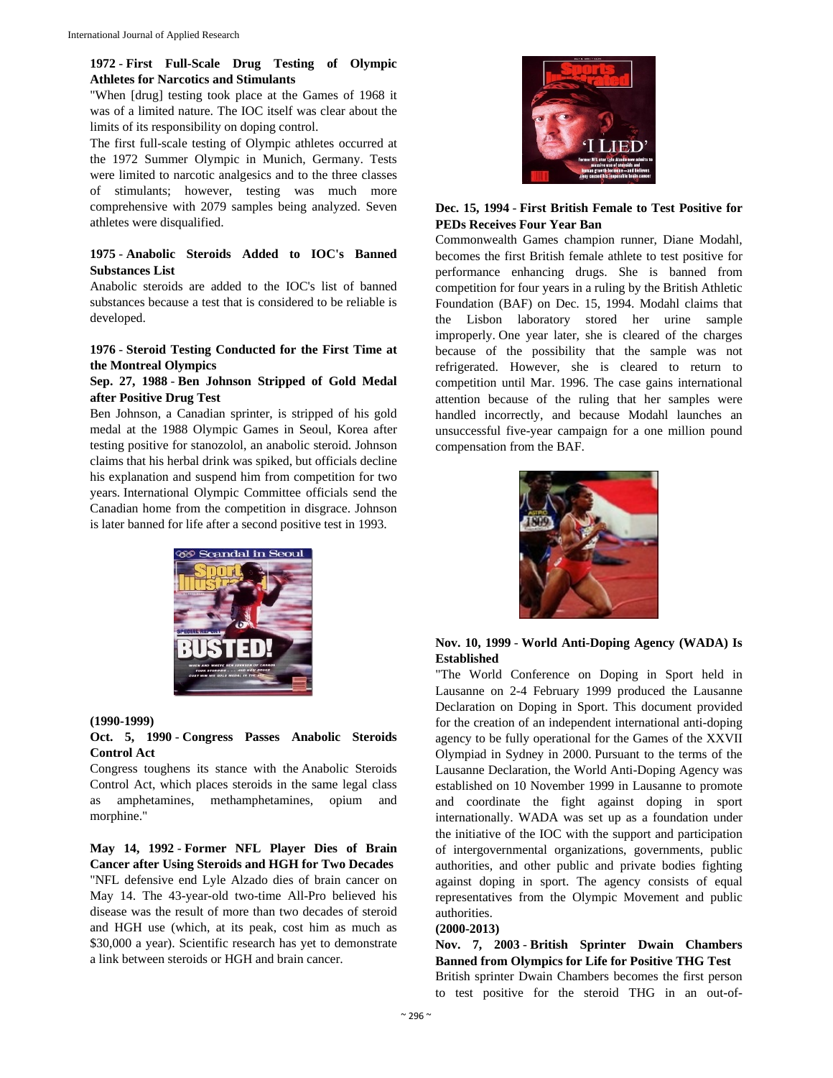## **1972** - **First Full-Scale Drug Testing of Olympic Athletes for Narcotics and Stimulants**

"When [drug] testing took place at the Games of 1968 it was of a limited nature. The IOC itself was clear about the limits of its responsibility on doping control.

The first full-scale testing of Olympic athletes occurred at the 1972 Summer Olympic in Munich, Germany. Tests were limited to narcotic analgesics and to the three classes of stimulants; however, testing was much more comprehensive with 2079 samples being analyzed. Seven athletes were disqualified.

## **1975** - **Anabolic Steroids Added to IOC's Banned Substances List**

Anabolic steroids are added to the IOC's list of banned substances because a test that is considered to be reliable is developed.

## **1976** - **Steroid Testing Conducted for the First Time at the Montreal Olympics**

#### **Sep. 27, 1988** - **Ben Johnson Stripped of Gold Medal after Positive Drug Test**

Ben Johnson, a Canadian sprinter, is stripped of his gold medal at the 1988 Olympic Games in Seoul, Korea after testing positive for stanozolol, an anabolic steroid. Johnson claims that his herbal drink was spiked, but officials decline his explanation and suspend him from competition for two years. International Olympic Committee officials send the Canadian home from the competition in disgrace. Johnson is later banned for life after a second positive test in 1993.



#### **(1990-1999)**

#### **Oct. 5, 1990** - **Congress Passes Anabolic Steroids Control Act**

Congress toughens its stance with the Anabolic Steroids Control Act, which places steroids in the same legal class as amphetamines, methamphetamines, opium and morphine."

**May 14, 1992** - **Former NFL Player Dies of Brain Cancer after Using Steroids and HGH for Two Decades** "NFL defensive end Lyle Alzado dies of brain cancer on May 14. The 43-year-old two-time All-Pro believed his disease was the result of more than two decades of steroid and HGH use (which, at its peak, cost him as much as \$30,000 a year). Scientific research has yet to demonstrate a link between steroids or HGH and brain cancer.



#### **Dec. 15, 1994** - **First British Female to Test Positive for PEDs Receives Four Year Ban**

Commonwealth Games champion runner, Diane Modahl, becomes the first British female athlete to test positive for performance enhancing drugs. She is banned from competition for four years in a ruling by the British Athletic Foundation (BAF) on Dec. 15, 1994. Modahl claims that the Lisbon laboratory stored her urine sample improperly. One year later, she is cleared of the charges because of the possibility that the sample was not refrigerated. However, she is cleared to return to competition until Mar. 1996. The case gains international attention because of the ruling that her samples were handled incorrectly, and because Modahl launches an unsuccessful five-year campaign for a one million pound compensation from the BAF.



## **Nov. 10, 1999** - **World Anti-Doping Agency (WADA) Is Established**

"The World Conference on Doping in Sport held in Lausanne on 2-4 February 1999 produced the Lausanne Declaration on Doping in Sport. This document provided for the creation of an independent international anti-doping agency to be fully operational for the Games of the XXVII Olympiad in Sydney in 2000. Pursuant to the terms of the Lausanne Declaration, the World Anti-Doping Agency was established on 10 November 1999 in Lausanne to promote and coordinate the fight against doping in sport internationally. WADA was set up as a foundation under the initiative of the IOC with the support and participation of intergovernmental organizations, governments, public authorities, and other public and private bodies fighting against doping in sport. The agency consists of equal representatives from the Olympic Movement and public authorities.

#### **(2000-2013)**

**Nov. 7, 2003** - **British Sprinter Dwain Chambers Banned from Olympics for Life for Positive THG Test**  British sprinter Dwain Chambers becomes the first person to test positive for the steroid THG in an out-of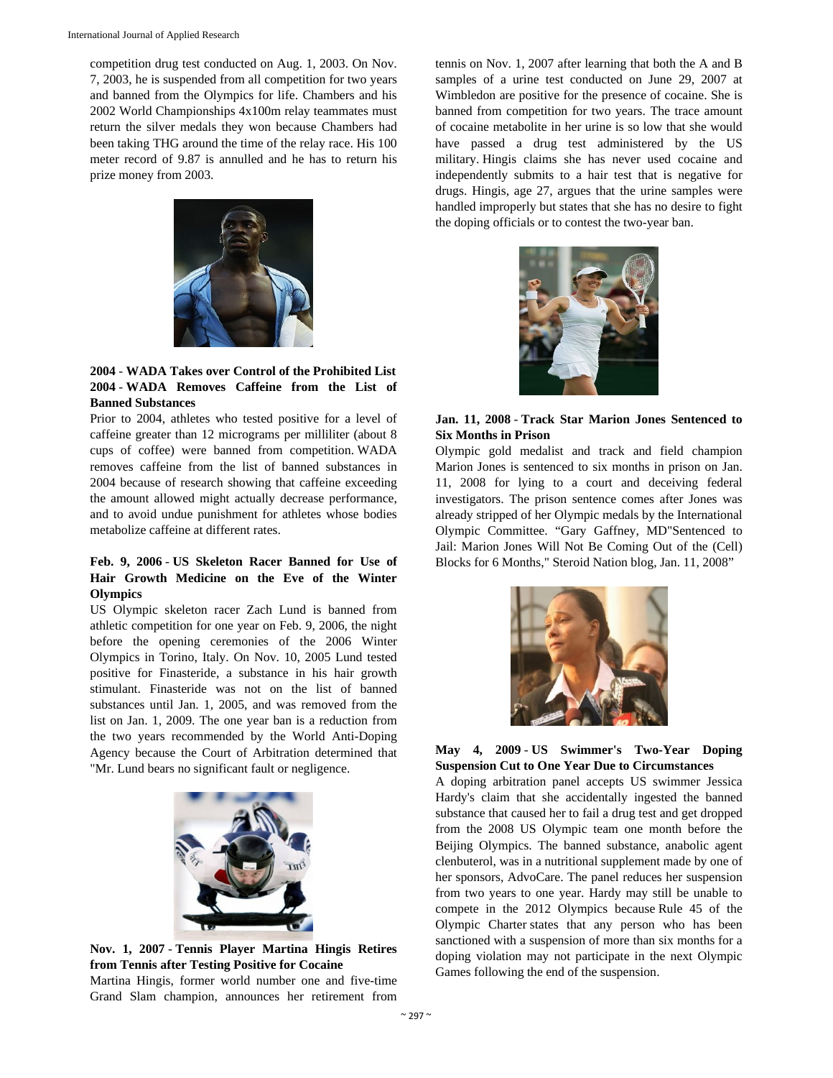competition drug test conducted on Aug. 1, 2003. On Nov. 7, 2003, he is suspended from all competition for two years and banned from the Olympics for life. Chambers and his 2002 World Championships 4x100m relay teammates must return the silver medals they won because Chambers had been taking THG around the time of the relay race. His 100 meter record of 9.87 is annulled and he has to return his prize money from 2003.



**2004** - **WADA Takes over Control of the Prohibited List 2004** - **WADA Removes Caffeine from the List of Banned Substances** 

Prior to 2004, athletes who tested positive for a level of caffeine greater than 12 micrograms per milliliter (about 8 cups of coffee) were banned from competition. WADA removes caffeine from the list of banned substances in 2004 because of research showing that caffeine exceeding the amount allowed might actually decrease performance, and to avoid undue punishment for athletes whose bodies metabolize caffeine at different rates.

## **Feb. 9, 2006** - **US Skeleton Racer Banned for Use of Hair Growth Medicine on the Eve of the Winter Olympics**

US Olympic skeleton racer Zach Lund is banned from athletic competition for one year on Feb. 9, 2006, the night before the opening ceremonies of the 2006 Winter Olympics in Torino, Italy. On Nov. 10, 2005 Lund tested positive for Finasteride, a substance in his hair growth stimulant. Finasteride was not on the list of banned substances until Jan. 1, 2005, and was removed from the list on Jan. 1, 2009. The one year ban is a reduction from the two years recommended by the World Anti-Doping Agency because the Court of Arbitration determined that "Mr. Lund bears no significant fault or negligence.



**Nov. 1, 2007** - **Tennis Player Martina Hingis Retires from Tennis after Testing Positive for Cocaine**  Martina Hingis, former world number one and five-time Grand Slam champion, announces her retirement from

tennis on Nov. 1, 2007 after learning that both the A and B samples of a urine test conducted on June 29, 2007 at Wimbledon are positive for the presence of cocaine. She is banned from competition for two years. The trace amount of cocaine metabolite in her urine is so low that she would have passed a drug test administered by the US military. Hingis claims she has never used cocaine and independently submits to a hair test that is negative for drugs. Hingis, age 27, argues that the urine samples were handled improperly but states that she has no desire to fight the doping officials or to contest the two-year ban.



**Jan. 11, 2008** - **Track Star Marion Jones Sentenced to Six Months in Prison** 

Olympic gold medalist and track and field champion Marion Jones is sentenced to six months in prison on Jan. 11, 2008 for lying to a court and deceiving federal investigators. The prison sentence comes after Jones was already stripped of her Olympic medals by the International Olympic Committee. "Gary Gaffney, MD"Sentenced to Jail: Marion Jones Will Not Be Coming Out of the (Cell) Blocks for 6 Months," Steroid Nation blog, Jan. 11, 2008"



**May 4, 2009** - **US Swimmer's Two-Year Doping Suspension Cut to One Year Due to Circumstances** 

A doping arbitration panel accepts US swimmer Jessica Hardy's claim that she accidentally ingested the banned substance that caused her to fail a drug test and get dropped from the 2008 US Olympic team one month before the Beijing Olympics. The banned substance, anabolic agent clenbuterol, was in a nutritional supplement made by one of her sponsors, AdvoCare. The panel reduces her suspension from two years to one year. Hardy may still be unable to compete in the 2012 Olympics because Rule 45 of the Olympic Charter states that any person who has been sanctioned with a suspension of more than six months for a doping violation may not participate in the next Olympic Games following the end of the suspension.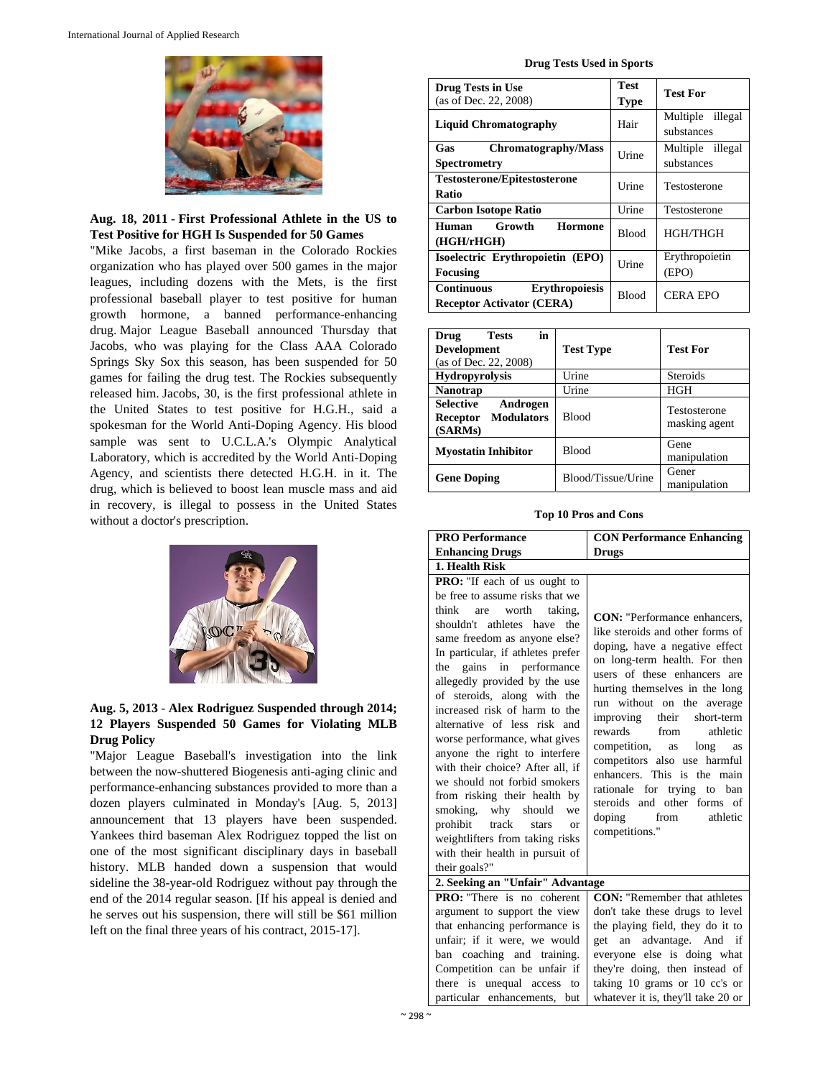

**Aug. 18, 2011** - **First Professional Athlete in the US to Test Positive for HGH Is Suspended for 50 Games** 

"Mike Jacobs, a first baseman in the Colorado Rockies organization who has played over 500 games in the major leagues, including dozens with the Mets, is the first professional baseball player to test positive for human growth hormone, a banned performance-enhancing drug. Major League Baseball announced Thursday that Jacobs, who was playing for the Class AAA Colorado Springs Sky Sox this season, has been suspended for 50 games for failing the drug test. The Rockies subsequently released him. Jacobs, 30, is the first professional athlete in the United States to test positive for H.G.H., said a spokesman for the World Anti-Doping Agency. His blood sample was sent to U.C.L.A.'s Olympic Analytical Laboratory, which is accredited by the World Anti-Doping Agency, and scientists there detected H.G.H. in it. The drug, which is believed to boost lean muscle mass and aid in recovery, is illegal to possess in the United States without a doctor's prescription.



## **Aug. 5, 2013** - **Alex Rodriguez Suspended through 2014; 12 Players Suspended 50 Games for Violating MLB Drug Policy**

"Major League Baseball's investigation into the link between the now-shuttered Biogenesis anti-aging clinic and performance-enhancing substances provided to more than a dozen players culminated in Monday's [Aug. 5, 2013] announcement that 13 players have been suspended. Yankees third baseman Alex Rodriguez topped the list on one of the most significant disciplinary days in baseball history. MLB handed down a suspension that would sideline the 38-year-old Rodriguez without pay through the end of the 2014 regular season. [If his appeal is denied and he serves out his suspension, there will still be \$61 million left on the final three years of his contract, 2015-17].

#### **Drug Tests Used in Sports**

| <b>Drug Tests in Use</b><br>(as of Dec. 22, 2008)                              | Test<br><b>Type</b> | <b>Test For</b>                   |
|--------------------------------------------------------------------------------|---------------------|-----------------------------------|
| <b>Liquid Chromatography</b>                                                   | Hair                | Multiple<br>illegal<br>substances |
| Chromatography/Mass<br>Gas<br>Spectrometry                                     | Urine               | Multiple illegal<br>substances    |
| <b>Testosterone/Epitestosterone</b><br>Ratio                                   | Urine               | Testosterone                      |
| <b>Carbon Isotope Ratio</b>                                                    | Urine               | Testosterone                      |
| Growth<br>Human<br>Hormone<br>(HGH/rHGH)                                       | <b>Blood</b>        | <b>HGH/THGH</b>                   |
| Isoelectric Erythropoietin (EPO)<br><b>Focusing</b>                            | Urine               | Erythropoietin<br>(EPO)           |
| <b>Erythropoiesis</b><br><b>Continuous</b><br><b>Receptor Activator (CERA)</b> | Blood               | <b>CERA EPO</b>                   |

| in<br><b>Tests</b><br>Drug<br>Development<br>(as of Dec. 22, 2008)       | <b>Test Type</b>   | <b>Test For</b>               |
|--------------------------------------------------------------------------|--------------------|-------------------------------|
| <b>Hydropyrolysis</b>                                                    | Urine              | <b>Steroids</b>               |
| <b>Nanotrap</b>                                                          | Urine              | <b>HGH</b>                    |
| <b>Selective</b><br>Androgen<br><b>Modulators</b><br>Receptor<br>(SARMs) | <b>Blood</b>       | Testosterone<br>masking agent |
| <b>Myostatin Inhibitor</b>                                               | <b>Blood</b>       | Gene<br>manipulation          |
| <b>Gene Doping</b>                                                       | Blood/Tissue/Urine | Gener<br>manipulation         |

#### **Top 10 Pros and Cons**

| <b>PRO Performance</b>                                                                                                                                                                                                                                                                                                                                                                                                                                                                                                                                                                                                                                                                          | <b>CON Performance Enhancing</b>                                                                                                                                                                                                                                                                                                                                                                                                                                                                                      |
|-------------------------------------------------------------------------------------------------------------------------------------------------------------------------------------------------------------------------------------------------------------------------------------------------------------------------------------------------------------------------------------------------------------------------------------------------------------------------------------------------------------------------------------------------------------------------------------------------------------------------------------------------------------------------------------------------|-----------------------------------------------------------------------------------------------------------------------------------------------------------------------------------------------------------------------------------------------------------------------------------------------------------------------------------------------------------------------------------------------------------------------------------------------------------------------------------------------------------------------|
| <b>Enhancing Drugs</b>                                                                                                                                                                                                                                                                                                                                                                                                                                                                                                                                                                                                                                                                          | <b>Drugs</b>                                                                                                                                                                                                                                                                                                                                                                                                                                                                                                          |
| 1. Health Risk                                                                                                                                                                                                                                                                                                                                                                                                                                                                                                                                                                                                                                                                                  |                                                                                                                                                                                                                                                                                                                                                                                                                                                                                                                       |
| PRO: "If each of us ought to<br>be free to assume risks that we<br>think are worth<br>taking,<br>shouldn't athletes have the<br>same freedom as anyone else?<br>In particular, if athletes prefer<br>the gains in performance<br>allegedly provided by the use<br>of steroids, along with the<br>increased risk of harm to the<br>alternative of less risk and<br>worse performance, what gives<br>anyone the right to interfere<br>with their choice? After all, if<br>we should not forbid smokers<br>from risking their health by<br>smoking, why should<br>we<br>prohibit track<br>stars<br>$\alpha$<br>weightlifters from taking risks<br>with their health in pursuit of<br>their goals?" | <b>CON:</b> "Performance enhancers.<br>like steroids and other forms of<br>doping, have a negative effect<br>on long-term health. For then<br>users of these enhancers are<br>hurting themselves in the long<br>run without on the average<br>improving their<br>short-term<br>rewards from<br>athletic<br>competition, as<br>long<br>as<br>competitors also use harmful<br>enhancers. This is the main<br>rationale for trying to ban<br>steroids and other forms of<br>doping<br>from<br>athletic<br>competitions." |
| 2. Seeking an "Unfair" Advantage                                                                                                                                                                                                                                                                                                                                                                                                                                                                                                                                                                                                                                                                |                                                                                                                                                                                                                                                                                                                                                                                                                                                                                                                       |
| <b>PRO:</b> "There is no coherent<br>argument to support the view                                                                                                                                                                                                                                                                                                                                                                                                                                                                                                                                                                                                                               | <b>CON:</b> "Remember that athletes<br>don't take these drugs to level                                                                                                                                                                                                                                                                                                                                                                                                                                                |
| that enhancing performance is                                                                                                                                                                                                                                                                                                                                                                                                                                                                                                                                                                                                                                                                   | the playing field, they do it to                                                                                                                                                                                                                                                                                                                                                                                                                                                                                      |
| unfair; if it were, we would                                                                                                                                                                                                                                                                                                                                                                                                                                                                                                                                                                                                                                                                    | advantage. And if<br>get an                                                                                                                                                                                                                                                                                                                                                                                                                                                                                           |
| ban coaching and training.                                                                                                                                                                                                                                                                                                                                                                                                                                                                                                                                                                                                                                                                      | everyone else is doing what                                                                                                                                                                                                                                                                                                                                                                                                                                                                                           |
| Competition can be unfair if                                                                                                                                                                                                                                                                                                                                                                                                                                                                                                                                                                                                                                                                    | they're doing, then instead of                                                                                                                                                                                                                                                                                                                                                                                                                                                                                        |
| there is unequal access to                                                                                                                                                                                                                                                                                                                                                                                                                                                                                                                                                                                                                                                                      | taking 10 grams or 10 cc's or                                                                                                                                                                                                                                                                                                                                                                                                                                                                                         |
| particular enhancements, but                                                                                                                                                                                                                                                                                                                                                                                                                                                                                                                                                                                                                                                                    | whatever it is, they'll take 20 or                                                                                                                                                                                                                                                                                                                                                                                                                                                                                    |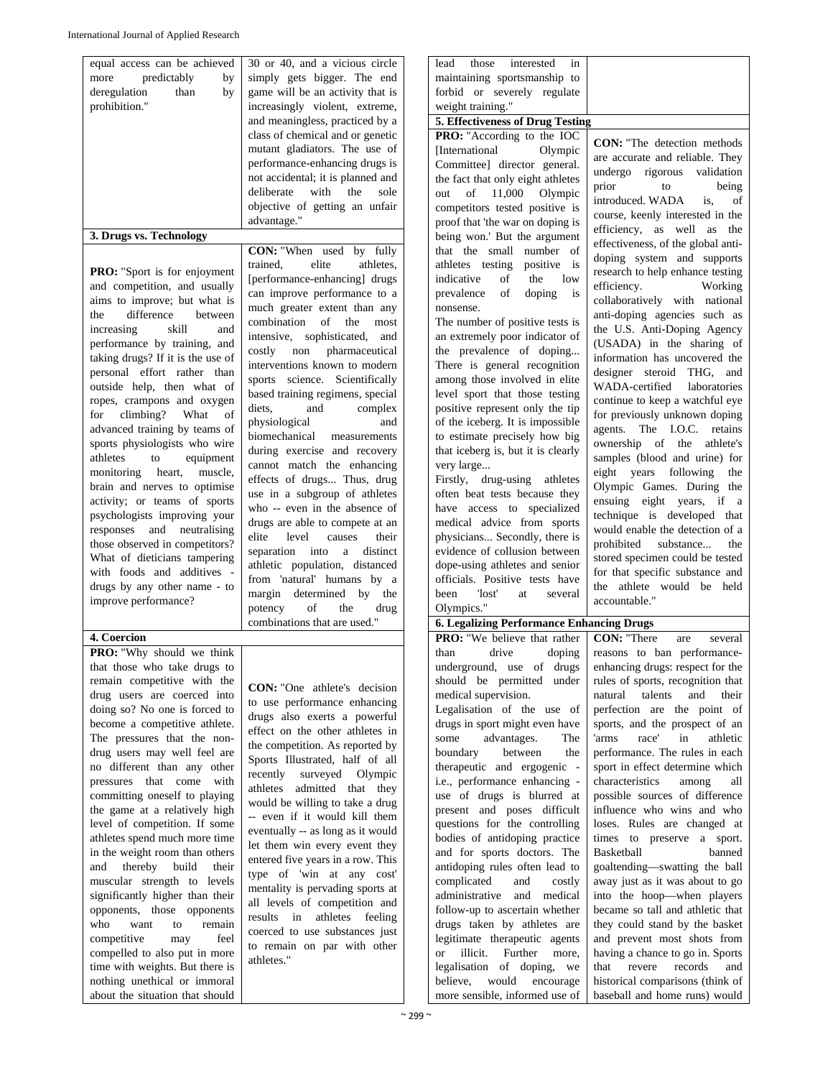|                                                                 | 30 or 40, and a vicious circle      | lead<br>those<br>interested<br>in                          |                                                                   |
|-----------------------------------------------------------------|-------------------------------------|------------------------------------------------------------|-------------------------------------------------------------------|
| equal access can be achieved<br>more<br>predictably<br>by       | simply gets bigger. The end         | maintaining sportsmanship to                               |                                                                   |
| deregulation<br>than<br>by                                      | game will be an activity that is    | forbid or severely regulate                                |                                                                   |
| prohibition."                                                   | increasingly violent, extreme,      | weight training."                                          |                                                                   |
|                                                                 |                                     |                                                            |                                                                   |
|                                                                 | and meaningless, practiced by a     | 5. Effectiveness of Drug Testing                           |                                                                   |
|                                                                 | class of chemical and or genetic    | PRO: "According to the IOC                                 | <b>CON:</b> "The detection methods                                |
|                                                                 | mutant gladiators. The use of       | <b>International</b><br>Olympic                            | are accurate and reliable. They                                   |
|                                                                 | performance-enhancing drugs is      | Committee] director general.                               | undergo rigorous validation                                       |
|                                                                 | not accidental; it is planned and   | the fact that only eight athletes                          | prior<br>to<br>being                                              |
|                                                                 | deliberate<br>with<br>the<br>sole   | of 11,000<br>Olympic<br>out                                | introduced. WADA<br>is.<br>of                                     |
|                                                                 | objective of getting an unfair      | competitors tested positive is                             | course, keenly interested in the                                  |
|                                                                 | advantage."                         | proof that 'the war on doping is                           | efficiency, as well as the                                        |
| 3. Drugs vs. Technology                                         |                                     | being won.' But the argument                               |                                                                   |
|                                                                 | CON: "When used by fully            | that the small number of                                   | effectiveness, of the global anti-                                |
|                                                                 | elite<br>athletes.<br>trained.      | athletes testing<br>positive is                            | doping system and supports                                        |
| PRO: "Sport is for enjoyment                                    | [performance-enhancing] drugs       | indicative<br>of<br>the<br>low                             | research to help enhance testing                                  |
| and competition, and usually                                    | can improve performance to a        | of<br>prevalence<br>doping<br>is                           | efficiency.<br>Working                                            |
| aims to improve; but what is                                    | much greater extent than any        | nonsense.                                                  | collaboratively with national                                     |
| difference<br>between<br>the                                    | combination of the<br>most          | The number of positive tests is                            | anti-doping agencies such as                                      |
| increasing<br>skill<br>and                                      | intensive, sophisticated,<br>and    | an extremely poor indicator of                             | the U.S. Anti-Doping Agency                                       |
| performance by training, and                                    | costly<br>non<br>pharmaceutical     | the prevalence of doping                                   | (USADA) in the sharing of                                         |
| taking drugs? If it is the use of                               | interventions known to modern       | There is general recognition                               | information has uncovered the                                     |
| personal effort rather than                                     |                                     |                                                            | designer steroid THG, and                                         |
| outside help, then what of                                      | sports science. Scientifically      | among those involved in elite                              | WADA-certified<br>laboratories                                    |
| ropes, crampons and oxygen                                      | based training regimens, special    | level sport that those testing                             | continue to keep a watchful eye                                   |
| climbing?<br>What<br>for<br>of                                  | diets,<br>and<br>complex            | positive represent only the tip                            | for previously unknown doping                                     |
| advanced training by teams of                                   | physiological<br>and                | of the iceberg. It is impossible                           | agents. The I.O.C. retains                                        |
| sports physiologists who wire                                   | biomechanical<br>measurements       | to estimate precisely how big                              | ownership of the athlete's                                        |
| athletes<br>to<br>equipment                                     | during exercise and recovery        | that iceberg is, but it is clearly                         | samples (blood and urine) for                                     |
| heart,<br>muscle,<br>monitoring                                 | cannot match the enhancing          | very large                                                 | eight years following<br>the                                      |
| brain and nerves to optimise                                    | effects of drugs Thus, drug         | Firstly, drug-using<br>athletes                            | Olympic Games. During the                                         |
|                                                                 | use in a subgroup of athletes       | often beat tests because they                              |                                                                   |
| activity; or teams of sports                                    | who -- even in the absence of       | have access to specialized                                 | ensuing eight years, if a                                         |
| psychologists improving your                                    | drugs are able to compete at an     | medical advice from sports                                 | technique is developed that                                       |
| responses and neutralising                                      | elite<br>level<br>causes<br>their   | physicians Secondly, there is                              | would enable the detection of a                                   |
| those observed in competitors?                                  | separation into<br>distinct<br>a    | evidence of collusion between                              | prohibited<br>substance<br>the                                    |
| What of dieticians tampering                                    |                                     |                                                            | stored specimen could be tested                                   |
|                                                                 |                                     |                                                            |                                                                   |
| with foods and additives -                                      | athletic population, distanced      | dope-using athletes and senior                             | for that specific substance and                                   |
| drugs by any other name - to                                    | from 'natural' humans by a          | officials. Positive tests have                             | the athlete would be held                                         |
| improve performance?                                            | margin determined by the            | 'lost'<br>been<br>at<br>several                            | accountable."                                                     |
|                                                                 | of<br>potency<br>the<br>drug        | Olympics."                                                 |                                                                   |
|                                                                 | combinations that are used."        | <b>6. Legalizing Performance Enhancing Drugs</b>           |                                                                   |
| 4. Coercion                                                     |                                     | <b>PRO:</b> "We believe that rather                        | <b>CON:</b> "There<br>several<br>are                              |
| PRO: "Why should we think                                       |                                     | drive<br>doping<br>than                                    | reasons to ban performance-                                       |
| that those who take drugs to                                    |                                     | underground, use of drugs                                  | enhancing drugs: respect for the                                  |
| remain competitive with the                                     |                                     | should be permitted under                                  | rules of sports, recognition that                                 |
| drug users are coerced into                                     | <b>CON:</b> "One athlete's decision | medical supervision.                                       | natural<br>talents<br>and<br>their                                |
| doing so? No one is forced to                                   | to use performance enhancing        | Legalisation of the use of                                 | perfection are the point of                                       |
| become a competitive athlete.                                   | drugs also exerts a powerful        | drugs in sport might even have                             | sports, and the prospect of an                                    |
| The pressures that the non-                                     | effect on the other athletes in     | some<br>advantages.<br>The                                 | race'<br>athletic<br>'arms<br>in                                  |
| drug users may well feel are                                    | the competition. As reported by     | boundary<br>between<br>the                                 | performance. The rules in each                                    |
| no different than any other                                     | Sports Illustrated, half of all     | therapeutic and ergogenic -                                | sport in effect determine which                                   |
| pressures that come with                                        | recently surveyed Olympic           | i.e., performance enhancing -                              | characteristics<br>among<br>all                                   |
| committing oneself to playing                                   | athletes admitted that they         | use of drugs is blurred at                                 | possible sources of difference                                    |
| the game at a relatively high                                   | would be willing to take a drug     | present and poses difficult                                | influence who wins and who                                        |
| level of competition. If some                                   | -- even if it would kill them       | questions for the controlling                              | loses. Rules are changed at                                       |
| athletes spend much more time                                   | eventually -- as long as it would   | bodies of antidoping practice                              | times to preserve a sport.                                        |
| in the weight room than others                                  | let them win every event they       | and for sports doctors. The                                | Basketball<br>banned                                              |
| and<br>thereby build<br>their                                   | entered five years in a row. This   | antidoping rules often lead to                             | goaltending-swatting the ball                                     |
|                                                                 | type of 'win at any cost'           | and<br>costly                                              |                                                                   |
| muscular strength to levels                                     | mentality is pervading sports at    | complicated                                                | away just as it was about to go                                   |
| significantly higher than their                                 | all levels of competition and       | administrative<br>and medical                              | into the hoop—when players                                        |
| opponents, those opponents                                      | results in athletes feeling         | follow-up to ascertain whether                             | became so tall and athletic that                                  |
| who<br>want<br>to<br>remain                                     | coerced to use substances just      | drugs taken by athletes are                                | they could stand by the basket                                    |
| competitive<br>may<br>feel                                      | to remain on par with other         | legitimate therapeutic agents                              | and prevent most shots from                                       |
| compelled to also put in more                                   | athletes."                          | illicit. Further<br><sub>or</sub><br>more,                 | having a chance to go in. Sports                                  |
| time with weights. But there is                                 |                                     | legalisation of doping, we                                 | revere<br>records<br>that<br>and                                  |
| nothing unethical or immoral<br>about the situation that should |                                     | believe, would encourage<br>more sensible, informed use of | historical comparisons (think of<br>baseball and home runs) would |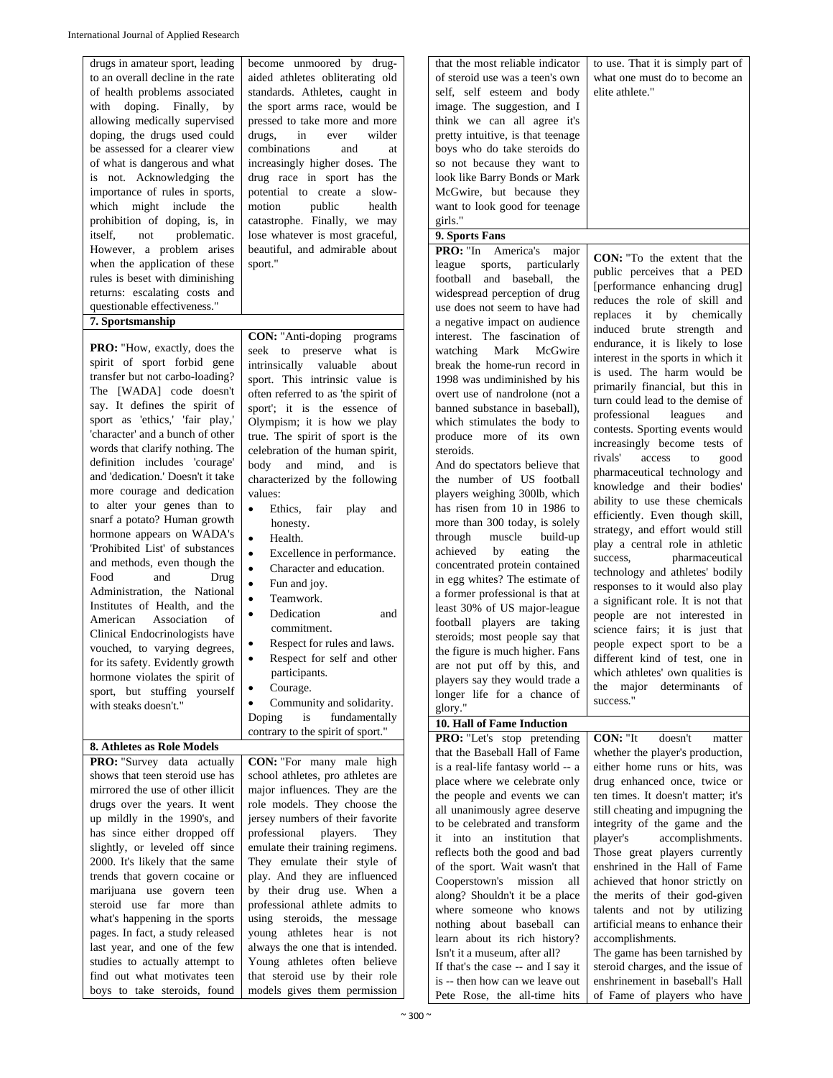| drugs in amateur sport, leading     | become unmoored by drug-                 | that the most reliable indicator   |                                     |
|-------------------------------------|------------------------------------------|------------------------------------|-------------------------------------|
|                                     |                                          |                                    | to use. That it is simply part of   |
| to an overall decline in the rate   | aided athletes obliterating old          | of steroid use was a teen's own    | what one must do to become an       |
| of health problems associated       | standards. Athletes, caught in           | self, self esteem and body         | elite athlete."                     |
| with doping. Finally,<br>by         | the sport arms race, would be            | image. The suggestion, and I       |                                     |
| allowing medically supervised       | pressed to take more and more            | think we can all agree it's        |                                     |
| doping, the drugs used could        | drugs,<br>wilder<br>in<br>ever           | pretty intuitive, is that teenage  |                                     |
|                                     |                                          |                                    |                                     |
| be assessed for a clearer view      | combinations<br>and<br>at                | boys who do take steroids do       |                                     |
| of what is dangerous and what       | increasingly higher doses. The           | so not because they want to        |                                     |
| is not. Acknowledging the           | drug race in sport has the               | look like Barry Bonds or Mark      |                                     |
| importance of rules in sports,      | potential to create a slow-              | McGwire, but because they          |                                     |
| which might include the             | motion<br>public<br>health               | want to look good for teenage      |                                     |
|                                     |                                          | girls."                            |                                     |
| prohibition of doping, is, in       | catastrophe. Finally, we may             |                                    |                                     |
| itself,<br>problematic.<br>not      | lose whatever is most graceful,          | 9. Sports Fans                     |                                     |
| However, a problem arises           | beautiful, and admirable about           | PRO: "In<br>America's<br>major     |                                     |
| when the application of these       | sport."                                  | sports,<br>league<br>particularly  | <b>CON:</b> "To the extent that the |
| rules is beset with diminishing     |                                          | football and baseball, the         | public perceives that a PED         |
| returns: escalating costs and       |                                          |                                    | [performance enhancing drug]        |
|                                     |                                          | widespread perception of drug      | reduces the role of skill and       |
| questionable effectiveness."        |                                          | use does not seem to have had      | replaces it by chemically           |
| 7. Sportsmanship                    |                                          | a negative impact on audience      | induced brute strength and          |
|                                     | <b>CON:</b> "Anti-doping programs"       | interest. The fascination of       |                                     |
| <b>PRO:</b> "How, exactly, does the | seek to preserve what is                 | Mark<br>McGwire<br>watching        | endurance, it is likely to lose     |
| spirit of sport forbid gene         | intrinsically valuable<br>about          |                                    | interest in the sports in which it  |
| transfer but not carbo-loading?     |                                          | break the home-run record in       | is used. The harm would be          |
|                                     | sport. This intrinsic value is           | 1998 was undiminished by his       | primarily financial, but this in    |
| The [WADA] code doesn't             | often referred to as 'the spirit of      | overt use of nandrolone (not a     | turn could lead to the demise of    |
| say. It defines the spirit of       | sport'; it is the essence of             | banned substance in baseball),     |                                     |
| sport as 'ethics,' 'fair play,'     | Olympism; it is how we play              | which stimulates the body to       | professional<br>leagues<br>and      |
| 'character' and a bunch of other    | true. The spirit of sport is the         | produce more of its own            | contests. Sporting events would     |
| words that clarify nothing. The     |                                          |                                    | increasingly become tests of        |
|                                     | celebration of the human spirit,         | steroids.                          | rivals'<br>access<br>to<br>good     |
| definition includes 'courage'       | body and mind,<br>and is                 | And do spectators believe that     | pharmaceutical technology and       |
| and 'dedication.' Doesn't it take   | characterized by the following           | the number of US football          |                                     |
| more courage and dedication         | values:                                  | players weighing 300lb, which      | knowledge and their bodies'         |
| to alter your genes than to         | Ethics,<br>fair<br>play<br>and           | has risen from 10 in 1986 to       | ability to use these chemicals      |
| snarf a potato? Human growth        |                                          |                                    | efficiently. Even though skill,     |
|                                     | honesty.                                 | more than 300 today, is solely     | strategy, and effort would still    |
| hormone appears on WADA's           | $\bullet$<br>Health.                     | through<br>muscle<br>build-up      | play a central role in athletic     |
| 'Prohibited List' of substances     | $\bullet$<br>Excellence in performance.  | achieved<br>by<br>eating<br>the    | pharmaceutical                      |
| and methods, even though the        | Character and education.<br>$\bullet$    | concentrated protein contained     | success,                            |
| Food<br>and<br>Drug                 |                                          | in egg whites? The estimate of     | technology and athletes' bodily     |
| Administration, the National        | Fun and joy.                             |                                    | responses to it would also play     |
| Institutes of Health, and the       | Teamwork.                                | a former professional is that at   | a significant role. It is not that  |
|                                     | Dedication<br>$\bullet$<br>and           | least 30% of US major-league       | people are not interested in        |
| of<br>Association<br>American       | commitment.                              | football players are taking        | science fairs; it is just that      |
| Clinical Endocrinologists have      |                                          | steroids; most people say that     |                                     |
| vouched, to varying degrees,        | Respect for rules and laws.<br>$\bullet$ | the figure is much higher. Fans    | people expect sport to be a         |
| for its safety. Evidently growth    | Respect for self and other<br>$\bullet$  | are not put off by this, and       | different kind of test, one in      |
| hormone violates the spirit of      | participants.                            |                                    | which athletes' own qualities is    |
|                                     | Courage.                                 | players say they would trade a     | the major determinants of           |
| sport, but stuffing yourself        | Community and solidarity.<br>$\bullet$   | longer life for a chance of        | success."                           |
| with steaks doesn't."               |                                          | glory."                            |                                     |
|                                     | is<br>fundamentally<br>Doping            | 10. Hall of Fame Induction         |                                     |
|                                     | contrary to the spirit of sport."        | PRO: "Let's stop pretending        | CON: "It<br>doesn't<br>matter       |
| 8. Athletes as Role Models          |                                          | that the Baseball Hall of Fame     | whether the player's production,    |
| PRO: "Survey data actually          | <b>CON:</b> "For many male high          |                                    |                                     |
| shows that teen steroid use has     | school athletes, pro athletes are        | is a real-life fantasy world -- a  | either home runs or hits, was       |
|                                     |                                          | place where we celebrate only      | drug enhanced once, twice or        |
| mirrored the use of other illicit   | major influences. They are the           | the people and events we can       | ten times. It doesn't matter; it's  |
| drugs over the years. It went       | role models. They choose the             | all unanimously agree deserve      | still cheating and impugning the    |
| up mildly in the 1990's, and        | jersey numbers of their favorite         | to be celebrated and transform     | integrity of the game and the       |
| has since either dropped off        | professional<br>players.<br>They         | it into an institution that        | accomplishments.                    |
| slightly, or leveled off since      | emulate their training regimens.         |                                    | player's                            |
| 2000. It's likely that the same     | They emulate their style of              | reflects both the good and bad     | Those great players currently       |
|                                     |                                          | of the sport. Wait wasn't that     | enshrined in the Hall of Fame       |
| trends that govern cocaine or       | play. And they are influenced            | Cooperstown's mission all          | achieved that honor strictly on     |
| marijuana use govern teen           | by their drug use. When a                | along? Shouldn't it be a place     | the merits of their god-given       |
| steroid use far more than           | professional athlete admits to           | where someone who knows            | talents and not by utilizing        |
| what's happening in the sports      | using steroids, the message              |                                    |                                     |
| pages. In fact, a study released    | young athletes hear is not               | nothing about baseball can         | artificial means to enhance their   |
|                                     |                                          | learn about its rich history?      | accomplishments.                    |
| last year, and one of the few       | always the one that is intended.         | Isn't it a museum, after all?      | The game has been tarnished by      |
| studies to actually attempt to      | Young athletes often believe             | If that's the case -- and I say it | steroid charges, and the issue of   |
| find out what motivates teen        | that steroid use by their role           | is -- then how can we leave out    | enshrinement in baseball's Hall     |
| boys to take steroids, found        | models gives them permission             |                                    | of Fame of players who have         |
|                                     |                                          | Pete Rose, the all-time hits       |                                     |